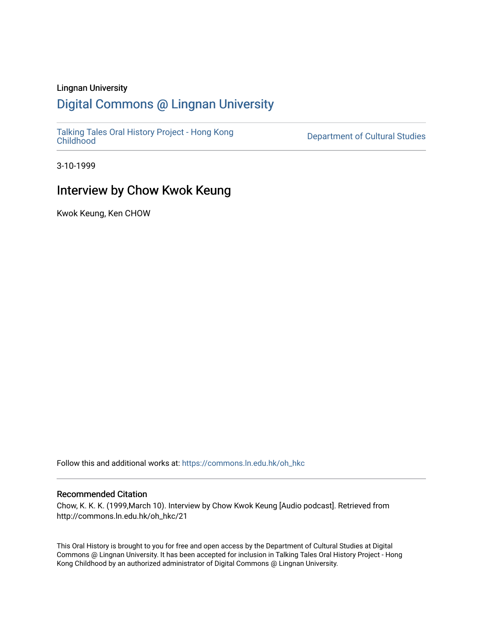#### Lingnan University

# [Digital Commons @ Lingnan University](https://commons.ln.edu.hk/)

[Talking Tales Oral History Project - Hong Kong](https://commons.ln.edu.hk/oh_hkc)

Department of Cultural Studies

3-10-1999

# Interview by Chow Kwok Keung

Kwok Keung, Ken CHOW

Follow this and additional works at: [https://commons.ln.edu.hk/oh\\_hkc](https://commons.ln.edu.hk/oh_hkc?utm_source=commons.ln.edu.hk%2Foh_hkc%2F21&utm_medium=PDF&utm_campaign=PDFCoverPages) 

#### Recommended Citation

Chow, K. K. K. (1999,March 10). Interview by Chow Kwok Keung [Audio podcast]. Retrieved from http://commons.ln.edu.hk/oh\_hkc/21

This Oral History is brought to you for free and open access by the Department of Cultural Studies at Digital Commons @ Lingnan University. It has been accepted for inclusion in Talking Tales Oral History Project - Hong Kong Childhood by an authorized administrator of Digital Commons @ Lingnan University.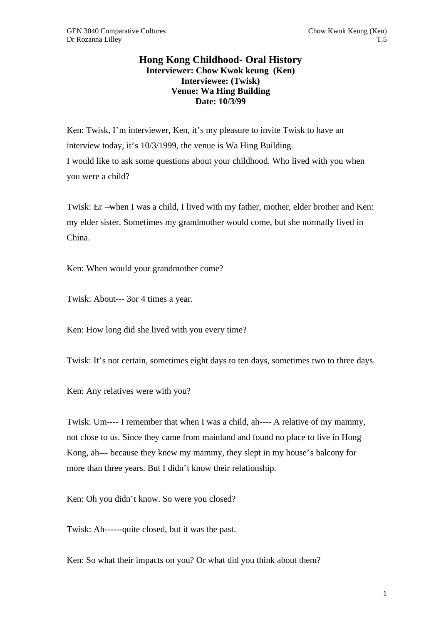### **Hong Kong Childhood- Oral History Interviewer: Chow Kwok keung (Ken) Interviewee: (Twisk) Venue: Wa Hing Building Date: 10/3/99**

Ken: Twisk, I'm interviewer, Ken, it's my pleasure to invite Twisk to have an interview today, it's 10/3/1999, the venue is Wa Hing Building. I would like to ask some questions about your childhood. Who lived with you when you were a child?

Twisk: Er —when I was a child, I lived with my father, mother, elder brother and Ken: my elder sister. Sometimes my grandmother would come, but she normally lived in China.

Ken: When would your grandmother come?

Twisk: About--- 3or 4 times a year.

Ken: How long did she lived with you every time?

Twisk: It's not certain, sometimes eight days to ten days, sometimes two to three days.

Ken: Any relatives were with you?

Twisk: Um---- I remember that when I was a child, ah---- A relative of my mammy, not close to us. Since they came from mainland and found no place to live in Hong Kong, ah--- because they knew my mammy, they slept in my house's balcony for more than three years. But I didn't know their relationship.

Ken: Oh you didn't know. So were you closed?

Twisk: Ah------quite closed, but it was the past.

Ken: So what their impacts on you? Or what did you think about them?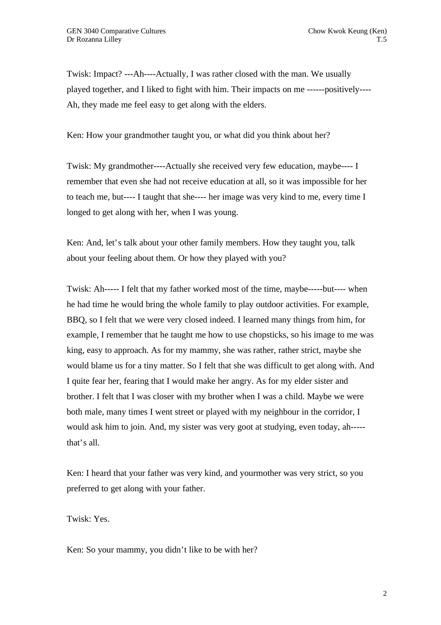Twisk: Impact? ---Ah----Actually, I was rather closed with the man. We usually played together, and I liked to fight with him. Their impacts on me ------positively---- Ah, they made me feel easy to get along with the elders.

Ken: How your grandmother taught you, or what did you think about her?

Twisk: My grandmother----Actually she received very few education, maybe---- I remember that even she had not receive education at all, so it was impossible for her to teach me, but---- I taught that she---- her image was very kind to me, every time I longed to get along with her, when I was young.

Ken: And, let's talk about your other family members. How they taught you, talk about your feeling about them. Or how they played with you?

Twisk: Ah----- I felt that my father worked most of the time, maybe-----but---- when he had time he would bring the whole family to play outdoor activities. For example, BBQ, so I felt that we were very closed indeed. I learned many things from him, for example, I remember that he taught me how to use chopsticks, so his image to me was king, easy to approach. As for my mammy, she was rather, rather strict, maybe she would blame us for a tiny matter. So I felt that she was difficult to get along with. And I quite fear her, fearing that I would make her angry. As for my elder sister and brother. I felt that I was closer with my brother when I was a child. Maybe we were both male, many times I went street or played with my neighbour in the corridor, I would ask him to join. And, my sister was very goot at studying, even today, ah---- that's all.

Ken: I heard that your father was very kind, and yourmother was very strict, so you preferred to get along with your father.

Twisk: Yes.

Ken: So your mammy, you didn't like to be with her?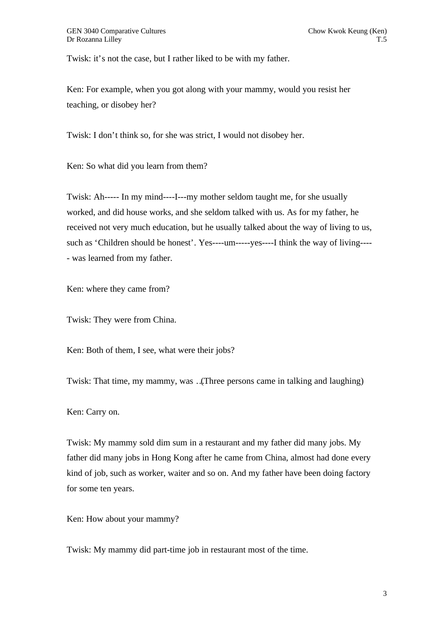Twisk: it's not the case, but I rather liked to be with my father.

Ken: For example, when you got along with your mammy, would you resist her teaching, or disobey her?

Twisk: I don't think so, for she was strict, I would not disobey her.

Ken: So what did you learn from them?

Twisk: Ah----- In my mind----I---my mother seldom taught me, for she usually worked, and did house works, and she seldom talked with us. As for my father, he received not very much education, but he usually talked about the way of living to us, such as 'Children should be honest'. Yes----um-----yes----I think the way of living---- - was learned from my father.

Ken: where they came from?

Twisk: They were from China.

Ken: Both of them, I see, what were their jobs?

Twisk: That time, my mammy, was …(Three persons came in talking and laughing)

Ken: Carry on.

Twisk: My mammy sold dim sum in a restaurant and my father did many jobs. My father did many jobs in Hong Kong after he came from China, almost had done every kind of job, such as worker, waiter and so on. And my father have been doing factory for some ten years.

Ken: How about your mammy?

Twisk: My mammy did part-time job in restaurant most of the time.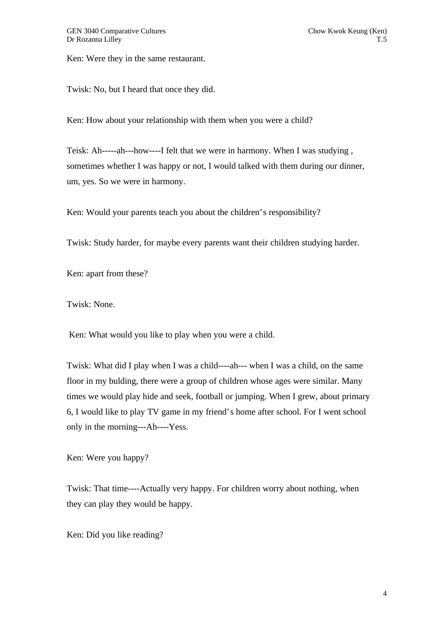Ken: Were they in the same restaurant.

Twisk: No, but I heard that once they did.

Ken: How about your relationship with them when you were a child?

Teisk: Ah-----ah---how----I felt that we were in harmony. When I was studying , sometimes whether I was happy or not, I would talked with them during our dinner, um, yes. So we were in harmony.

Ken: Would your parents teach you about the children's responsibility?

Twisk: Study harder, for maybe every parents want their children studying harder.

Ken: apart from these?

Twisk: None.

Ken: What would you like to play when you were a child.

Twisk: What did I play when I was a child----ah--- when I was a child, on the same floor in my bulding, there were a group of children whose ages were similar. Many times we would play hide and seek, football or jumping. When I grew, about primary 6, I would like to play TV game in my friend's home after school. For I went school only in the morning---Ah----Yess.

Ken: Were you happy?

Twisk: That time----Actually very happy. For children worry about nothing, when they can play they would be happy.

Ken: Did you like reading?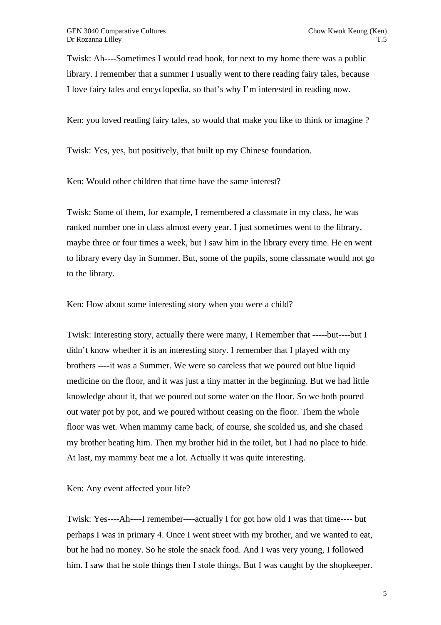Twisk: Ah----Sometimes I would read book, for next to my home there was a public library. I remember that a summer I usually went to there reading fairy tales, because I love fairy tales and encyclopedia, so that's why I'm interested in reading now.

Ken: you loved reading fairy tales, so would that make you like to think or imagine ?

Twisk: Yes, yes, but positively, that built up my Chinese foundation.

Ken: Would other children that time have the same interest?

Twisk: Some of them, for example, I remembered a classmate in my class, he was ranked number one in class almost every year. I just sometimes went to the library, maybe three or four times a week, but I saw him in the library every time. He en went to library every day in Summer. But, some of the pupils, some classmate would not go to the library.

Ken: How about some interesting story when you were a child?

Twisk: Interesting story, actually there were many, I Remember that -----but----but I didn't know whether it is an interesting story. I remember that I played with my brothers ----it was a Summer. We were so careless that we poured out blue liquid medicine on the floor, and it was just a tiny matter in the beginning. But we had little knowledge about it, that we poured out some water on the floor. So we both poured out water pot by pot, and we poured without ceasing on the floor. Them the whole floor was wet. When mammy came back, of course, she scolded us, and she chased my brother beating him. Then my brother hid in the toilet, but I had no place to hide. At last, my mammy beat me a lot. Actually it was quite interesting.

Ken: Any event affected your life?

Twisk: Yes----Ah----I remember----actually I for got how old I was that time---- but perhaps I was in primary 4. Once I went street with my brother, and we wanted to eat, but he had no money. So he stole the snack food. And I was very young, I followed him. I saw that he stole things then I stole things. But I was caught by the shopkeeper.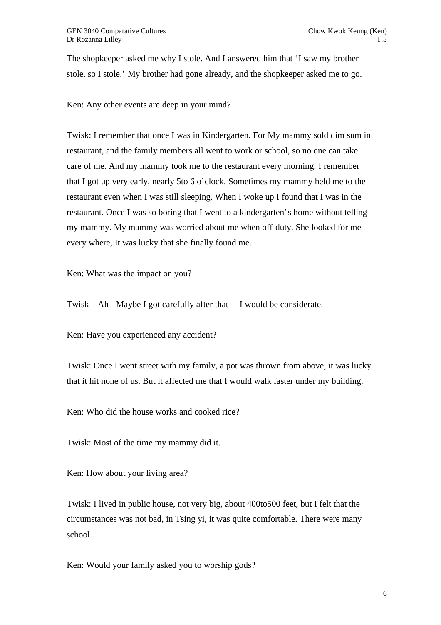The shopkeeper asked me why I stole. And I answered him that 'I saw my brother stole, so I stole.' My brother had gone already, and the shopkeeper asked me to go.

Ken: Any other events are deep in your mind?

Twisk: I remember that once I was in Kindergarten. For My mammy sold dim sum in restaurant, and the family members all went to work or school, so no one can take care of me. And my mammy took me to the restaurant every morning. I remember that I got up very early, nearly 5to 6 o'clock. Sometimes my mammy held me to the restaurant even when I was still sleeping. When I woke up I found that I was in the restaurant. Once I was so boring that I went to a kindergarten's home without telling my mammy. My mammy was worried about me when off-duty. She looked for me every where, It was lucky that she finally found me.

Ken: What was the impact on you?

Twisk---Ah —Maybe I got carefully after that ---I would be considerate.

Ken: Have you experienced any accident?

Twisk: Once I went street with my family, a pot was thrown from above, it was lucky that it hit none of us. But it affected me that I would walk faster under my building.

Ken: Who did the house works and cooked rice?

Twisk: Most of the time my mammy did it.

Ken: How about your living area?

Twisk: I lived in public house, not very big, about 400to500 feet, but I felt that the circumstances was not bad, in Tsing yi, it was quite comfortable. There were many school.

Ken: Would your family asked you to worship gods?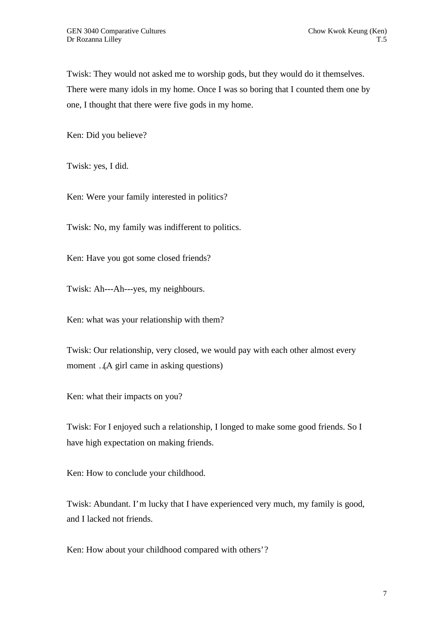Twisk: They would not asked me to worship gods, but they would do it themselves. There were many idols in my home. Once I was so boring that I counted them one by one, I thought that there were five gods in my home.

Ken: Did you believe?

Twisk: yes, I did.

Ken: Were your family interested in politics?

Twisk: No, my family was indifferent to politics.

Ken: Have you got some closed friends?

Twisk: Ah---Ah---yes, my neighbours.

Ken: what was your relationship with them?

Twisk: Our relationship, very closed, we would pay with each other almost every moment …(A girl came in asking questions)

Ken: what their impacts on you?

Twisk: For I enjoyed such a relationship, I longed to make some good friends. So I have high expectation on making friends.

Ken: How to conclude your childhood.

Twisk: Abundant. I'm lucky that I have experienced very much, my family is good, and I lacked not friends.

Ken: How about your childhood compared with others'?